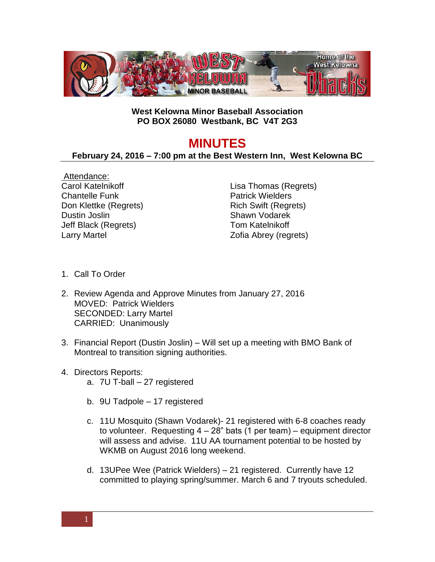

## **West Kelowna Minor Baseball Association PO BOX 26080 Westbank, BC V4T 2G3**

## **MINUTES**

## **February 24, 2016 – 7:00 pm at the Best Western Inn, West Kelowna BC**

Attendance: Carol Katelnikoff Chantelle Funk Don Klettke (Regrets) Dustin Joslin Jeff Black (Regrets) Larry Martel

Lisa Thomas (Regrets) Patrick Wielders Rich Swift (Regrets) Shawn Vodarek Tom Katelnikoff Zofia Abrey (regrets)

- 1. Call To Order
- 2. Review Agenda and Approve Minutes from January 27, 2016 MOVED: Patrick Wielders SECONDED: Larry Martel CARRIED: Unanimously
- 3. Financial Report (Dustin Joslin) Will set up a meeting with BMO Bank of Montreal to transition signing authorities.
- 4. Directors Reports:
	- a. 7U T-ball 27 registered
	- b. 9U Tadpole 17 registered
	- c. 11U Mosquito (Shawn Vodarek)- 21 registered with 6-8 coaches ready to volunteer. Requesting  $4 - 28$ " bats (1 per team) – equipment director will assess and advise. 11U AA tournament potential to be hosted by WKMB on August 2016 long weekend.
	- d. 13UPee Wee (Patrick Wielders) 21 registered. Currently have 12 committed to playing spring/summer. March 6 and 7 tryouts scheduled.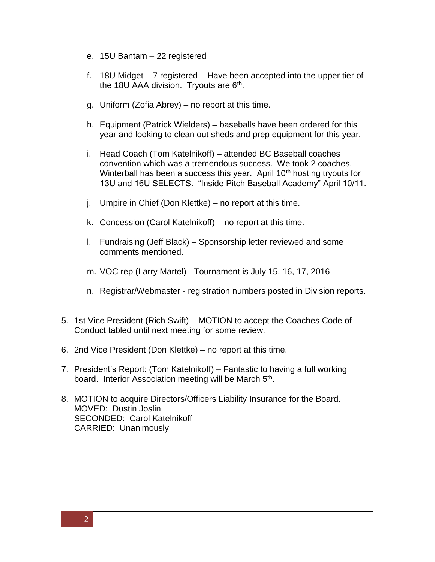- e. 15U Bantam 22 registered
- f. 18U Midget 7 registered Have been accepted into the upper tier of the 18U AAA division. Tryouts are 6<sup>th</sup>.
- g. Uniform (Zofia Abrey) no report at this time.
- h. Equipment (Patrick Wielders) baseballs have been ordered for this year and looking to clean out sheds and prep equipment for this year.
- i. Head Coach (Tom Katelnikoff) attended BC Baseball coaches convention which was a tremendous success. We took 2 coaches. Winterball has been a success this year. April 10<sup>th</sup> hosting tryouts for 13U and 16U SELECTS. "Inside Pitch Baseball Academy" April 10/11.
- j. Umpire in Chief (Don Klettke) no report at this time.
- k. Concession (Carol Katelnikoff) no report at this time.
- l. Fundraising (Jeff Black) Sponsorship letter reviewed and some comments mentioned.
- m. VOC rep (Larry Martel) Tournament is July 15, 16, 17, 2016
- n. Registrar/Webmaster registration numbers posted in Division reports.
- 5. 1st Vice President (Rich Swift) MOTION to accept the Coaches Code of Conduct tabled until next meeting for some review.
- 6. 2nd Vice President (Don Klettke) no report at this time.
- 7. President's Report: (Tom Katelnikoff) Fantastic to having a full working board. Interior Association meeting will be March 5<sup>th</sup>.
- 8. MOTION to acquire Directors/Officers Liability Insurance for the Board. MOVED: Dustin Joslin SECONDED: Carol Katelnikoff CARRIED: Unanimously